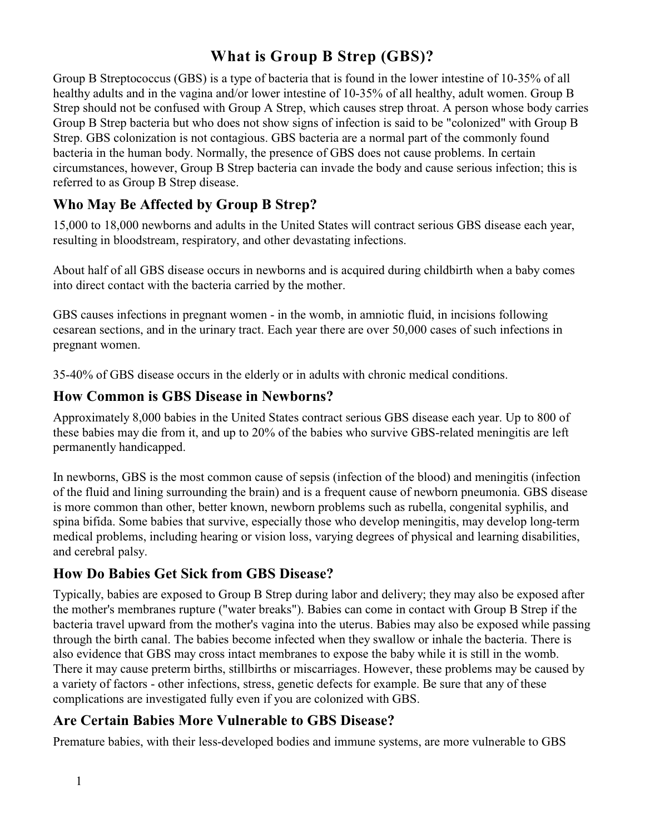# **What is Group B Strep (GBS)?**

Group B Streptococcus (GBS) is a type of bacteria that is found in the lower intestine of 10-35% of all healthy adults and in the vagina and/or lower intestine of 10-35% of all healthy, adult women. Group B Strep should not be confused with Group A Strep, which causes strep throat. A person whose body carries Group B Strep bacteria but who does not show signs of infection is said to be "colonized" with Group B Strep. GBS colonization is not contagious. GBS bacteria are a normal part of the commonly found bacteria in the human body. Normally, the presence of GBS does not cause problems. In certain circumstances, however, Group B Strep bacteria can invade the body and cause serious infection; this is referred to as Group B Strep disease.

# **Who May Be Affected by Group B Strep?**

15,000 to 18,000 newborns and adults in the United States will contract serious GBS disease each year, resulting in bloodstream, respiratory, and other devastating infections.

About half of all GBS disease occurs in newborns and is acquired during childbirth when a baby comes into direct contact with the bacteria carried by the mother.

GBS causes infections in pregnant women - in the womb, in amniotic fluid, in incisions following cesarean sections, and in the urinary tract. Each year there are over 50,000 cases of such infections in pregnant women.

35-40% of GBS disease occurs in the elderly or in adults with chronic medical conditions.

#### **How Common is GBS Disease in Newborns?**

Approximately 8,000 babies in the United States contract serious GBS disease each year. Up to 800 of these babies may die from it, and up to 20% of the babies who survive GBS-related meningitis are left permanently handicapped.

In newborns, GBS is the most common cause of sepsis (infection of the blood) and meningitis (infection of the fluid and lining surrounding the brain) and is a frequent cause of newborn pneumonia. GBS disease is more common than other, better known, newborn problems such as rubella, congenital syphilis, and spina bifida. Some babies that survive, especially those who develop meningitis, may develop long-term medical problems, including hearing or vision loss, varying degrees of physical and learning disabilities, and cerebral palsy.

### **How Do Babies Get Sick from GBS Disease?**

Typically, babies are exposed to Group B Strep during labor and delivery; they may also be exposed after the mother's membranes rupture ("water breaks"). Babies can come in contact with Group B Strep if the bacteria travel upward from the mother's vagina into the uterus. Babies may also be exposed while passing through the birth canal. The babies become infected when they swallow or inhale the bacteria. There is also evidence that GBS may cross intact membranes to expose the baby while it is still in the womb. There it may cause preterm births, stillbirths or miscarriages. However, these problems may be caused by a variety of factors - other infections, stress, genetic defects for example. Be sure that any of these complications are investigated fully even if you are colonized with GBS.

### **Are Certain Babies More Vulnerable to GBS Disease?**

Premature babies, with their less-developed bodies and immune systems, are more vulnerable to GBS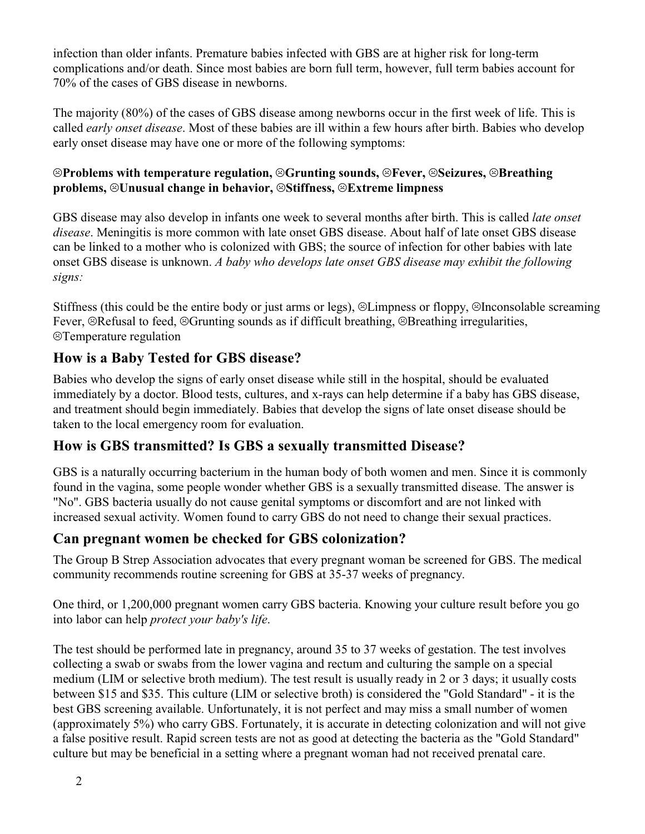infection than older infants. Premature babies infected with GBS are at higher risk for long-term complications and/or death. Since most babies are born full term, however, full term babies account for 70% of the cases of GBS disease in newborns.

The majority (80%) of the cases of GBS disease among newborns occur in the first week of life. This is called *early onset disease*. Most of these babies are ill within a few hours after birth. Babies who develop early onset disease may have one or more of the following symptoms:

#### ;**Problems with temperature regulation,** ;**Grunting sounds,** ;**Fever,** ;**Seizures,** ;**Breathing problems,** ;**Unusual change in behavior,** ;**Stiffness,** ;**Extreme limpness**

GBS disease may also develop in infants one week to several months after birth. This is called *late onset disease*. Meningitis is more common with late onset GBS disease. About half of late onset GBS disease can be linked to a mother who is colonized with GBS; the source of infection for other babies with late onset GBS disease is unknown. *A baby who develops late onset GBS disease may exhibit the following signs:*

Stiffness (this could be the entire body or just arms or legs),  $\odot$ Limpness or floppy,  $\odot$ Inconsolable screaming Fever,  $\odot$ Refusal to feed,  $\odot$ Grunting sounds as if difficult breathing,  $\odot$ Breathing irregularities, **<sup>©</sup>Temperature regulation** 

# **How is a Baby Tested for GBS disease?**

Babies who develop the signs of early onset disease while still in the hospital, should be evaluated immediately by a doctor. Blood tests, cultures, and x-rays can help determine if a baby has GBS disease, and treatment should begin immediately. Babies that develop the signs of late onset disease should be taken to the local emergency room for evaluation.

### **How is GBS transmitted? Is GBS a sexually transmitted Disease?**

GBS is a naturally occurring bacterium in the human body of both women and men. Since it is commonly found in the vagina, some people wonder whether GBS is a sexually transmitted disease. The answer is "No". GBS bacteria usually do not cause genital symptoms or discomfort and are not linked with increased sexual activity. Women found to carry GBS do not need to change their sexual practices.

### **Can pregnant women be checked for GBS colonization?**

The Group B Strep Association advocates that every pregnant woman be screened for GBS. The medical community recommends routine screening for GBS at 35-37 weeks of pregnancy.

One third, or 1,200,000 pregnant women carry GBS bacteria. Knowing your culture result before you go into labor can help *protect your baby's life*.

The test should be performed late in pregnancy, around 35 to 37 weeks of gestation. The test involves collecting a swab or swabs from the lower vagina and rectum and culturing the sample on a special medium (LIM or selective broth medium). The test result is usually ready in 2 or 3 days; it usually costs between \$15 and \$35. This culture (LIM or selective broth) is considered the "Gold Standard" - it is the best GBS screening available. Unfortunately, it is not perfect and may miss a small number of women (approximately 5%) who carry GBS. Fortunately, it is accurate in detecting colonization and will not give a false positive result. Rapid screen tests are not as good at detecting the bacteria as the "Gold Standard" culture but may be beneficial in a setting where a pregnant woman had not received prenatal care.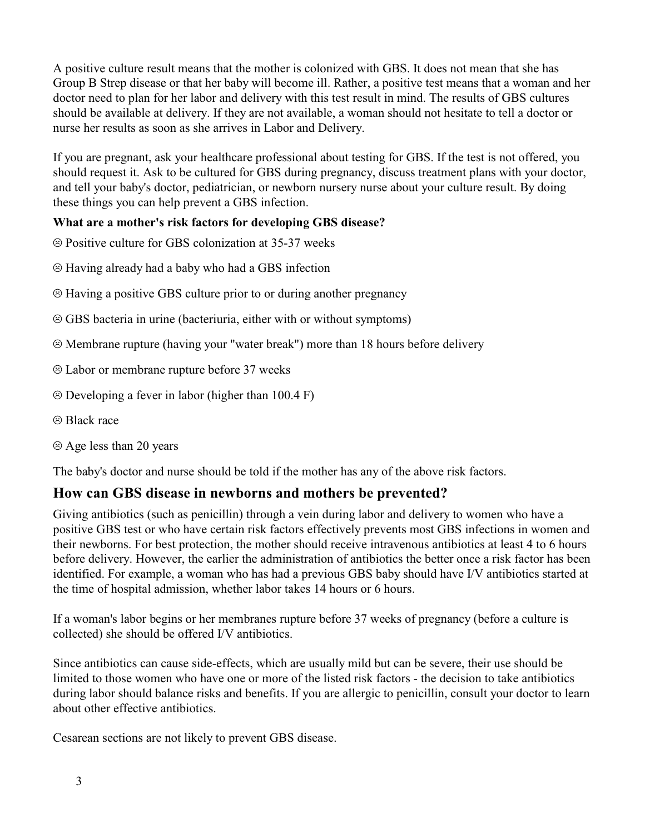A positive culture result means that the mother is colonized with GBS. It does not mean that she has Group B Strep disease or that her baby will become ill. Rather, a positive test means that a woman and her doctor need to plan for her labor and delivery with this test result in mind. The results of GBS cultures should be available at delivery. If they are not available, a woman should not hesitate to tell a doctor or nurse her results as soon as she arrives in Labor and Delivery.

If you are pregnant, ask your healthcare professional about testing for GBS. If the test is not offered, you should request it. Ask to be cultured for GBS during pregnancy, discuss treatment plans with your doctor, and tell your baby's doctor, pediatrician, or newborn nursery nurse about your culture result. By doing these things you can help prevent a GBS infection.

#### **What are a mother's risk factors for developing GBS disease?**

- $\odot$  Positive culture for GBS colonization at 35-37 weeks
- $\odot$  Having already had a baby who had a GBS infection
- $\circledR$  Having a positive GBS culture prior to or during another pregnancy
- $\circledcirc$  GBS bacteria in urine (bacteriuria, either with or without symptoms)
- $\odot$  Membrane rupture (having your "water break") more than 18 hours before delivery
- $\odot$  Labor or membrane rupture before 37 weeks
- $\odot$  Developing a fever in labor (higher than 100.4 F)
- $\circledR$  Black race
- $\odot$  Age less than 20 years

The baby's doctor and nurse should be told if the mother has any of the above risk factors.

#### **How can GBS disease in newborns and mothers be prevented?**

Giving antibiotics (such as penicillin) through a vein during labor and delivery to women who have a positive GBS test or who have certain risk factors effectively prevents most GBS infections in women and their newborns. For best protection, the mother should receive intravenous antibiotics at least 4 to 6 hours before delivery. However, the earlier the administration of antibiotics the better once a risk factor has been identified. For example, a woman who has had a previous GBS baby should have I/V antibiotics started at the time of hospital admission, whether labor takes 14 hours or 6 hours.

If a woman's labor begins or her membranes rupture before 37 weeks of pregnancy (before a culture is collected) she should be offered I/V antibiotics.

Since antibiotics can cause side-effects, which are usually mild but can be severe, their use should be limited to those women who have one or more of the listed risk factors - the decision to take antibiotics during labor should balance risks and benefits. If you are allergic to penicillin, consult your doctor to learn about other effective antibiotics.

Cesarean sections are not likely to prevent GBS disease.